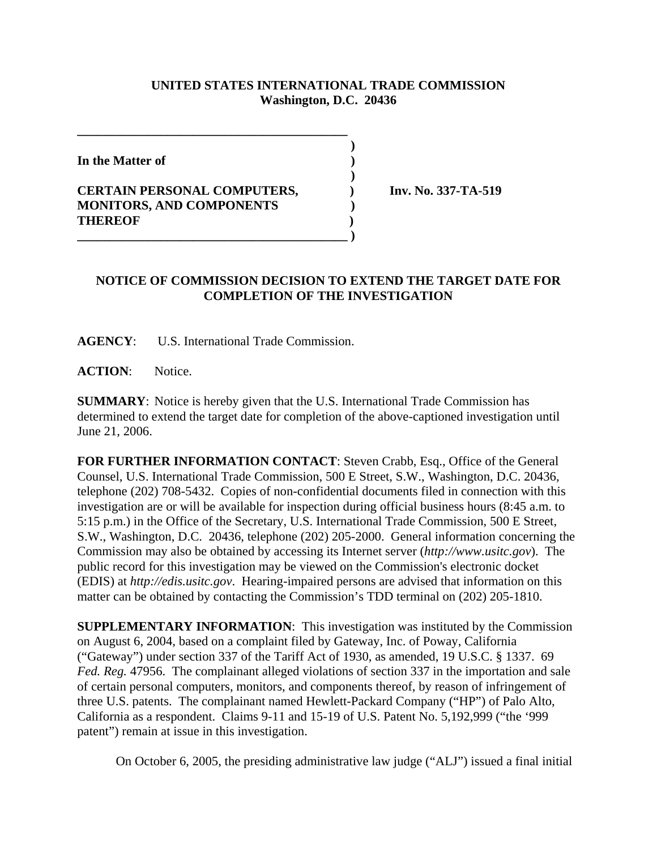## **UNITED STATES INTERNATIONAL TRADE COMMISSION Washington, D.C. 20436**

 **)**

 **)**

**In the Matter of )**

## **CERTAIN PERSONAL COMPUTERS, ) Inv. No. 337-TA-519 MONITORS, AND COMPONENTS ) THEREOF ) \_\_\_\_\_\_\_\_\_\_\_\_\_\_\_\_\_\_\_\_\_\_\_\_\_\_\_\_\_\_\_\_\_\_\_\_\_\_\_\_\_\_ )**

**\_\_\_\_\_\_\_\_\_\_\_\_\_\_\_\_\_\_\_\_\_\_\_\_\_\_\_\_\_\_\_\_\_\_\_\_\_\_\_\_\_\_**

## **NOTICE OF COMMISSION DECISION TO EXTEND THE TARGET DATE FOR COMPLETION OF THE INVESTIGATION**

**AGENCY**: U.S. International Trade Commission.

**ACTION**: Notice.

**SUMMARY**: Notice is hereby given that the U.S. International Trade Commission has determined to extend the target date for completion of the above-captioned investigation until June 21, 2006.

**FOR FURTHER INFORMATION CONTACT**: Steven Crabb, Esq., Office of the General Counsel, U.S. International Trade Commission, 500 E Street, S.W., Washington, D.C. 20436, telephone (202) 708-5432. Copies of non-confidential documents filed in connection with this investigation are or will be available for inspection during official business hours (8:45 a.m. to 5:15 p.m.) in the Office of the Secretary, U.S. International Trade Commission, 500 E Street, S.W., Washington, D.C. 20436, telephone (202) 205-2000. General information concerning the Commission may also be obtained by accessing its Internet server (*http://www.usitc.gov*). The public record for this investigation may be viewed on the Commission's electronic docket (EDIS) at *http://edis.usitc.gov*. Hearing-impaired persons are advised that information on this matter can be obtained by contacting the Commission's TDD terminal on (202) 205-1810.

**SUPPLEMENTARY INFORMATION**: This investigation was instituted by the Commission on August 6, 2004, based on a complaint filed by Gateway, Inc. of Poway, California ("Gateway") under section 337 of the Tariff Act of 1930, as amended, 19 U.S.C. § 1337. 69 *Fed. Reg.* 47956. The complainant alleged violations of section 337 in the importation and sale of certain personal computers, monitors, and components thereof, by reason of infringement of three U.S. patents. The complainant named Hewlett-Packard Company ("HP") of Palo Alto, California as a respondent. Claims 9-11 and 15-19 of U.S. Patent No. 5,192,999 ("the '999 patent") remain at issue in this investigation.

On October 6, 2005, the presiding administrative law judge ("ALJ") issued a final initial